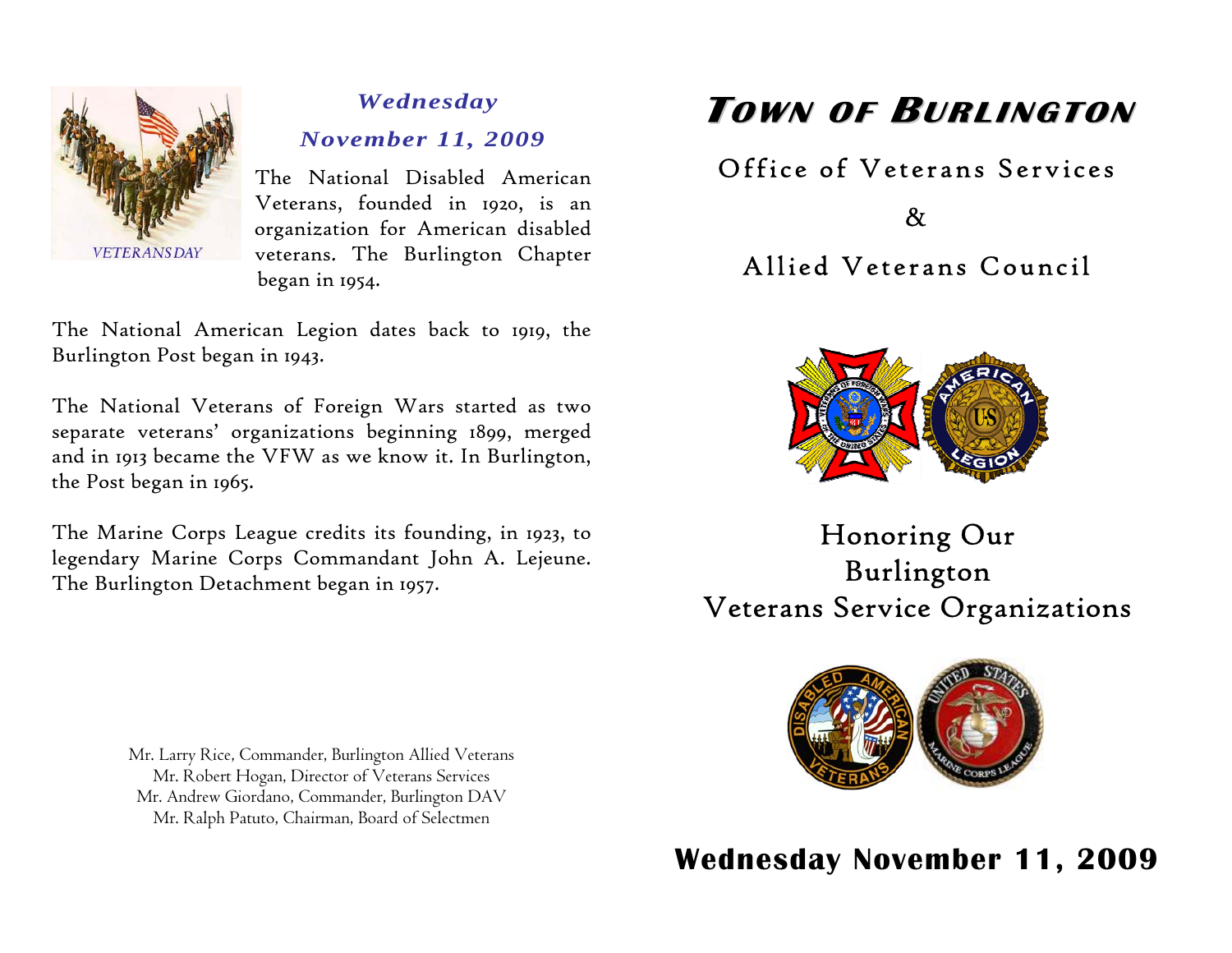

## *Wednesday November 11, 2009*

The National Disabled American Veterans, founded in 1920, is an organization for American disabled veterans. The Burlington Chapter began in 1954.

The National American Legion dates back to 1919, the Burlington Post began in 1943.

The National Veterans of Foreign Wars started as two separate veterans' organizations beginning 1899, merged and in 1913 became the VFW as we know it. In Burlington, the Post began in 1965.

The Marine Corps League credits its founding, in 1923, to legendary Marine Corps [Commandant](http://en.wikipedia.org/wiki/Commandant_of_the_Marine_Corps) [John A. Lejeune](http://en.wikipedia.org/wiki/John_A._Lejeune). The Burlington Detachment began in 1957.

> Mr. Larry Rice, Commander, Burlington Allied Veterans Mr. Robert Hogan, Director of Veterans Services Mr. Andrew Giordano, Commander, Burlington DAV Mr. Ralph Patuto, Chairman, Board of Selectmen

# **TOWN OF BURLINGTON**

## Office of Veterans Services

& Allied Veterans Council



Honoring Our Burlington Veterans Service Organizations



**Wednesday November 11, 2009**